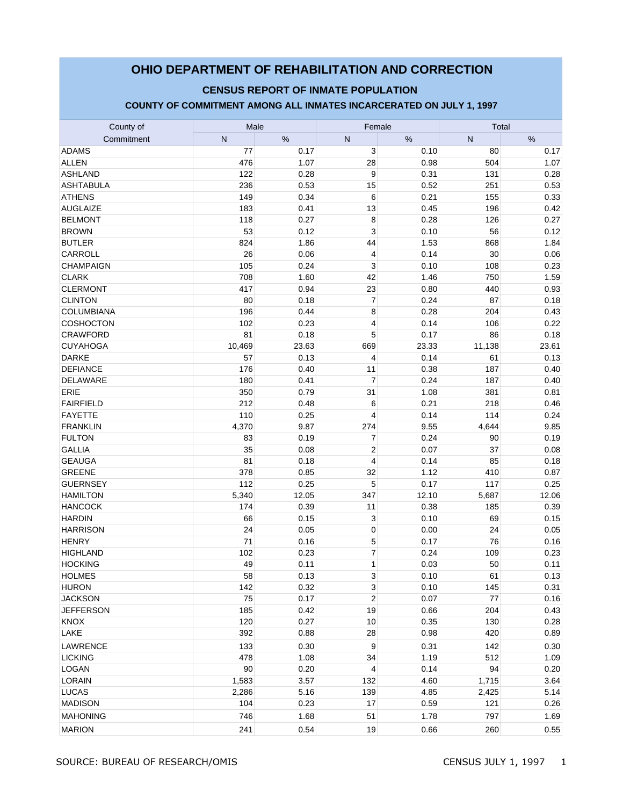# **OHIO DEPARTMENT OF REHABILITATION AND CORRECTION**

### **CENSUS REPORT OF INMATE POPULATION**

#### **COUNTY OF COMMITMENT AMONG ALL INMATES INCARCERATED ON JULY 1, 1997**

| County of         | Male   |       | Female                  |       | Total  |       |  |
|-------------------|--------|-------|-------------------------|-------|--------|-------|--|
| Commitment        | N      | %     | N                       | %     | N      | %     |  |
| <b>ADAMS</b>      | 77     | 0.17  | 3                       | 0.10  | 80     | 0.17  |  |
| <b>ALLEN</b>      | 476    | 1.07  | 28                      | 0.98  | 504    | 1.07  |  |
| <b>ASHLAND</b>    | 122    | 0.28  | 9                       | 0.31  | 131    | 0.28  |  |
| <b>ASHTABULA</b>  | 236    | 0.53  | 15                      | 0.52  | 251    | 0.53  |  |
| <b>ATHENS</b>     | 149    | 0.34  | 6                       | 0.21  | 155    | 0.33  |  |
| <b>AUGLAIZE</b>   | 183    | 0.41  | 13                      | 0.45  | 196    | 0.42  |  |
| <b>BELMONT</b>    | 118    | 0.27  | 8                       | 0.28  | 126    | 0.27  |  |
| <b>BROWN</b>      | 53     | 0.12  | 3                       | 0.10  | 56     | 0.12  |  |
| <b>BUTLER</b>     | 824    | 1.86  | 44                      | 1.53  | 868    | 1.84  |  |
| CARROLL           | 26     | 0.06  | $\overline{4}$          | 0.14  | 30     | 0.06  |  |
| CHAMPAIGN         | 105    | 0.24  | 3                       | 0.10  | 108    | 0.23  |  |
| <b>CLARK</b>      | 708    | 1.60  | 42                      | 1.46  | 750    | 1.59  |  |
| <b>CLERMONT</b>   | 417    | 0.94  | 23                      | 0.80  | 440    | 0.93  |  |
| <b>CLINTON</b>    | 80     | 0.18  | $\overline{7}$          | 0.24  | 87     | 0.18  |  |
| <b>COLUMBIANA</b> | 196    | 0.44  | 8                       | 0.28  | 204    | 0.43  |  |
| COSHOCTON         | 102    | 0.23  | 4                       | 0.14  | 106    | 0.22  |  |
| <b>CRAWFORD</b>   | 81     | 0.18  | 5                       | 0.17  | 86     | 0.18  |  |
| <b>CUYAHOGA</b>   | 10,469 | 23.63 | 669                     | 23.33 | 11,138 | 23.61 |  |
| <b>DARKE</b>      | 57     | 0.13  | 4                       | 0.14  | 61     | 0.13  |  |
| <b>DEFIANCE</b>   | 176    | 0.40  | 11                      | 0.38  | 187    | 0.40  |  |
| DELAWARE          | 180    | 0.41  | $\overline{7}$          | 0.24  | 187    | 0.40  |  |
| ERIE              | 350    | 0.79  | 31                      | 1.08  | 381    | 0.81  |  |
| <b>FAIRFIELD</b>  | 212    | 0.48  | 6                       | 0.21  | 218    | 0.46  |  |
| <b>FAYETTE</b>    | 110    | 0.25  | 4                       | 0.14  | 114    | 0.24  |  |
| <b>FRANKLIN</b>   | 4,370  | 9.87  | 274                     | 9.55  | 4,644  | 9.85  |  |
| <b>FULTON</b>     | 83     | 0.19  | $\overline{7}$          | 0.24  | 90     | 0.19  |  |
| <b>GALLIA</b>     | 35     | 0.08  | $\overline{c}$          | 0.07  | 37     | 0.08  |  |
| <b>GEAUGA</b>     | 81     | 0.18  | $\overline{4}$          | 0.14  | 85     | 0.18  |  |
| <b>GREENE</b>     | 378    | 0.85  | 32                      | 1.12  | 410    | 0.87  |  |
| <b>GUERNSEY</b>   | 112    | 0.25  | 5                       | 0.17  | 117    | 0.25  |  |
| <b>HAMILTON</b>   | 5,340  | 12.05 | 347                     | 12.10 | 5,687  | 12.06 |  |
| <b>HANCOCK</b>    | 174    | 0.39  | 11                      | 0.38  | 185    | 0.39  |  |
| <b>HARDIN</b>     | 66     | 0.15  | 3                       | 0.10  | 69     | 0.15  |  |
| <b>HARRISON</b>   | 24     | 0.05  | $\mathbf 0$             | 0.00  | 24     | 0.05  |  |
| <b>HENRY</b>      | 71     | 0.16  | 5                       | 0.17  | 76     | 0.16  |  |
| <b>HIGHLAND</b>   | 102    | 0.23  | $\overline{7}$          | 0.24  | 109    | 0.23  |  |
| <b>HOCKING</b>    | 49     | 0.11  | 1                       | 0.03  | 50     | 0.11  |  |
| <b>HOLMES</b>     | 58     | 0.13  | $\mathsf 3$             | 0.10  | 61     | 0.13  |  |
| <b>HURON</b>      | 142    | 0.32  | 3                       | 0.10  | 145    | 0.31  |  |
| <b>JACKSON</b>    | 75     | 0.17  | $\overline{\mathbf{c}}$ | 0.07  | 77     | 0.16  |  |
| <b>JEFFERSON</b>  | 185    | 0.42  | 19                      | 0.66  | 204    | 0.43  |  |
| <b>KNOX</b>       | 120    | 0.27  | 10                      | 0.35  | 130    | 0.28  |  |
| LAKE              | 392    | 0.88  | 28                      | 0.98  | 420    | 0.89  |  |
| LAWRENCE          | 133    | 0.30  | 9                       | 0.31  | 142    | 0.30  |  |
| <b>LICKING</b>    | 478    | 1.08  | 34                      | 1.19  | 512    | 1.09  |  |
| LOGAN             | 90     | 0.20  | 4                       | 0.14  | 94     | 0.20  |  |
| <b>LORAIN</b>     | 1,583  | 3.57  | 132                     | 4.60  | 1,715  | 3.64  |  |
| <b>LUCAS</b>      | 2,286  | 5.16  | 139                     | 4.85  | 2,425  | 5.14  |  |
| <b>MADISON</b>    | 104    | 0.23  | 17                      | 0.59  | 121    | 0.26  |  |
| <b>MAHONING</b>   | 746    | 1.68  | 51                      | 1.78  | 797    | 1.69  |  |
| <b>MARION</b>     | 241    | 0.54  | 19                      | 0.66  | 260    | 0.55  |  |
|                   |        |       |                         |       |        |       |  |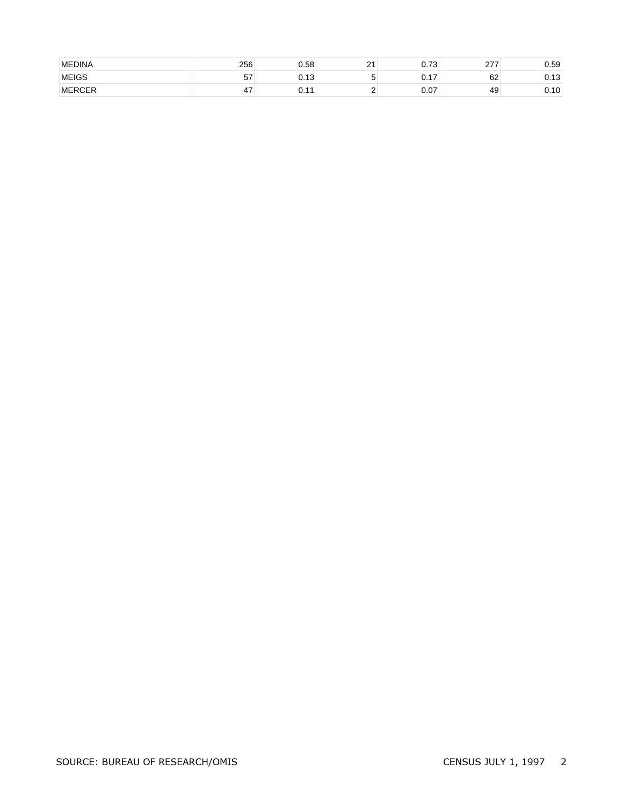| <b>MEDINA</b> | 256      | 0.58                   | $\Omega$<br><u>.</u> | $\overline{z}$<br>⌒<br>v. 1 J | $\sim$ | 0.59                               |
|---------------|----------|------------------------|----------------------|-------------------------------|--------|------------------------------------|
| <b>MEIGS</b>  | г7<br>57 | $\sim$ 10<br>U.IJ      |                      | $\sim$ $\sim$<br>.            | 62     | $\overline{\phantom{a}}$<br>ບ. ເ ບ |
| <b>MERCER</b> | 47       | $\overline{A}$<br>◡. ៲ |                      | $\sim$ $\sim$<br>v.v          | 49     | $\overline{A}$<br>v. i v           |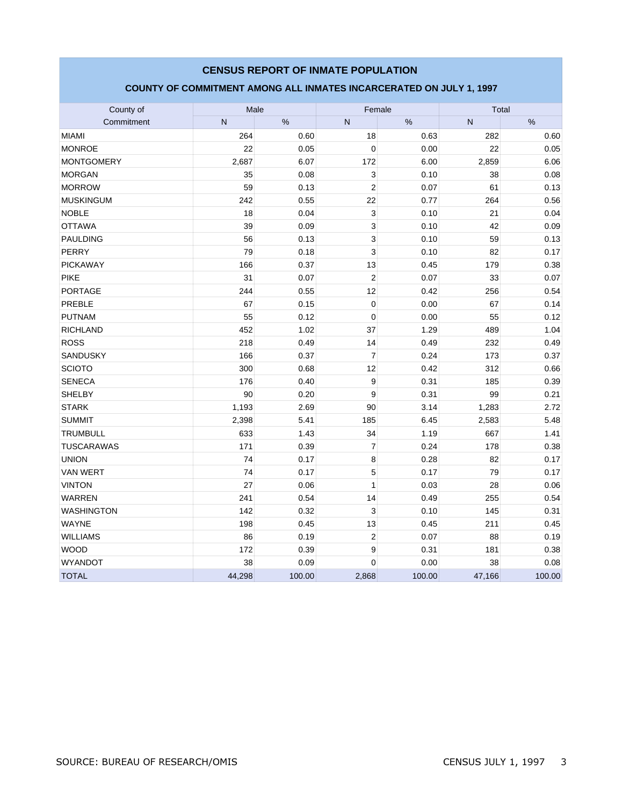### County of Goundal County of Male Male (County of Total Male Male Total Male Commitment | N | % | N | % | N | % MIAMI 264 0.60 18 0.63 282 0.60 MONROE  $\hskip 1.6cm | {\rm 22}| {\rm 0.05} | {\rm 0.01} | {\rm 0.00} | {\rm 22} | {\rm 0.05}$ MONTGOMERY 2,687 6.07 172 6.00 2,859 6.06 MORGAN  $|35|$  0.08  $3|$  0.10  $38|$  0.08 MORROW 59 0.13 2 0.07 61 0.13 MUSKINGUM | 242| 0.55| 22| 0.77| 264| 0.56 NOBLE 18 0.04 3 0.10 21 0.04 OTTAWA | 39| 0.09| 3| 0.10| 42| 0.09 PAULDING 56 0.13 3 0.10 59 0.13 PERRY 79 0.18 3 0.10 82 0.17 PICKAWAY | 166| 0.37| 13| 0.45| 179| 0.38 PIKE | 31 | 0.07 | 2 | 0.07 | 33 | 0.07 PORTAGE 244 0.55 12 0.42 256 0.54 PREBLE 67 0.15 0 0.00 67 0.14 PUTNAM 55 0.12 0 0.00 55 0.12 RICHLAND 1.02 37 1.29 489 1.04 ROSS 218 | 0.49 | 14 | 0.49 | 232 | 0.49 SANDUSKY 166 0.37 7 0.24 173 0.37 SCIOTO 300 0.68 12 0.42 312 0.66 SENECA 176 | 0.40 | 9 | 0.31 | 185 | 0.39 SHELBY | 90 | 0.20 | 9| 0.31 | 99 | 0.21 STARK 1,193 2.69 90 3.14 1,283 2.72 SUMMIT 2,398 5.41 185 6.45 2,583 5.48 TRUMBULL 633 1.43 34 1.19 667 1.41 TUSCARAWAS 171 0.39 7 0.24 178 0.38 UNION  $12 | 74 | 0.17 | 8 | 0.28 | 82 | 0.17$ VAN WERT 74 0.17 5 0.17 79 0.17 VINTON 27 0.06 1 0.03 28 0.06 WARREN 241 0.54 14 0.49 255 0.54 WASHINGTON 142 0.32 3 0.10 145 0.31 WAYNE 198 0.45 13 0.45 211 0.45 WILLIAMS | 86 | 0.19 | 2 | 0.07 | 88 | 0.19 WOOD | 172 | 0.39 | 9 | 0.31 | 181 | 0.38 WYANDOT  $\begin{array}{|c|c|c|c|c|c|}\hline \rule{0.2cm}{0.2cm} & \rule{0.2cm}{0.2cm} & \rule{0.2cm}{0.2cm} & \rule{0.2cm}{0.2cm} & \rule{0.2cm}{0.2cm} & \rule{0.2cm}{0.2cm} & \rule{0.2cm}{0.2cm} & \rule{0.2cm}{0.2cm} & \rule{0.2cm}{0.2cm} & \rule{0.2cm}{0.2cm} & \rule{0.2cm}{0.2cm} & \rule{0.2cm}{0.2cm} & \rule{0.2cm}{0.2cm} & \rule{0.2cm}{0$ TOTAL | 44,298| 100.00| 2,868| 100.00| 47,166| 100.00 **CENSUS REPORT OF INMATE POPULATION COUNTY OF COMMITMENT AMONG ALL INMATES INCARCERATED ON JULY 1, 1997**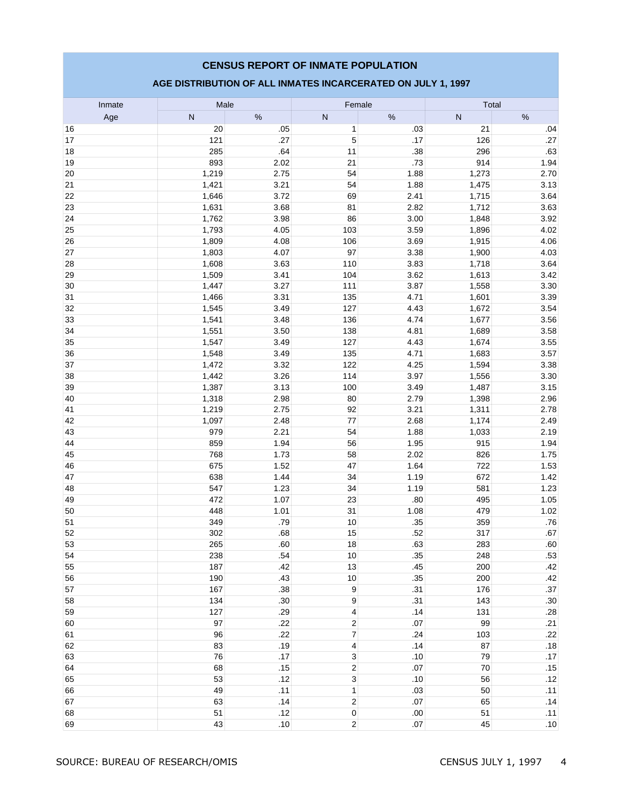### **AGE DISTRIBUTION OF ALL INMATES INCARCERATED ON JULY 1, 1997**

| Inmate   | Male           |              | Female                  |              | Total          |              |  |
|----------|----------------|--------------|-------------------------|--------------|----------------|--------------|--|
| Age      | $\mathsf{N}$   | $\%$         | ${\sf N}$               | %            | N              | %            |  |
| 16       | 20             | .05          | $\mathbf{1}$            | .03          | 21             | .04          |  |
| 17       | 121            | .27          | 5                       | .17          | 126            | .27          |  |
| 18       | 285            | .64          | 11                      | .38          | 296            | .63          |  |
| 19       | 893            | 2.02         | 21                      | .73          | 914            | 1.94         |  |
| 20       | 1,219          | 2.75         | 54                      | 1.88         | 1,273          | 2.70         |  |
| 21       | 1,421          | 3.21         | 54                      | 1.88         | 1,475          | 3.13         |  |
| 22       | 1,646          | 3.72         | 69                      | 2.41         | 1,715          | 3.64         |  |
| 23       | 1,631          | 3.68         | 81                      | 2.82         | 1,712          | 3.63         |  |
| 24       | 1,762          | 3.98         | 86                      | 3.00         | 1,848          | 3.92         |  |
| 25       | 1,793          | 4.05         | 103                     | 3.59         | 1,896          | 4.02         |  |
| 26       | 1,809          | 4.08         | 106                     | 3.69         | 1,915          | 4.06         |  |
| 27       | 1,803          | 4.07         | 97                      | 3.38         | 1,900          | 4.03         |  |
| 28       | 1,608          | 3.63         | 110                     | 3.83         | 1,718          | 3.64         |  |
| 29       | 1,509          | 3.41         | 104                     | 3.62         | 1,613          | 3.42         |  |
| 30       | 1,447          | 3.27         | 111                     | 3.87         | 1,558          | 3.30         |  |
| 31       | 1,466          | 3.31         | 135                     | 4.71         | 1,601          | 3.39         |  |
| 32       | 1,545          | 3.49         | 127                     | 4.43         | 1,672          | 3.54         |  |
| 33       | 1,541          | 3.48         | 136                     | 4.74         | 1,677          | 3.56         |  |
| 34       | 1,551          | 3.50         | 138                     | 4.81         | 1,689          | 3.58         |  |
| 35       | 1,547          | 3.49         | 127                     | 4.43         | 1,674          | 3.55         |  |
| 36       | 1,548          | 3.49         | 135<br>122              | 4.71         | 1,683          | 3.57         |  |
| 37       | 1,472<br>1,442 | 3.32         |                         | 4.25<br>3.97 | 1,594<br>1,556 | 3.38<br>3.30 |  |
| 38<br>39 | 1,387          | 3.26<br>3.13 | 114<br>100              | 3.49         | 1,487          | 3.15         |  |
| 40       | 1,318          | 2.98         | 80                      | 2.79         | 1,398          | 2.96         |  |
| 41       | 1,219          | 2.75         | 92                      | 3.21         | 1,311          | 2.78         |  |
| 42       | 1,097          | 2.48         | 77                      | 2.68         | 1,174          | 2.49         |  |
| 43       | 979            | 2.21         | 54                      | 1.88         | 1,033          | 2.19         |  |
| 44       | 859            | 1.94         | 56                      | 1.95         | 915            | 1.94         |  |
| 45       | 768            | 1.73         | 58                      | 2.02         | 826            | 1.75         |  |
| 46       | 675            | 1.52         | 47                      | 1.64         | 722            | 1.53         |  |
| 47       | 638            | 1.44         | 34                      | 1.19         | 672            | 1.42         |  |
| 48       | 547            | 1.23         | 34                      | 1.19         | 581            | 1.23         |  |
| 49       | 472            | 1.07         | 23                      | .80          | 495            | 1.05         |  |
| 50       | 448            | 1.01         | 31                      | 1.08         | 479            | 1.02         |  |
| 51       | 349            | .79          | 10                      | .35          | 359            | .76          |  |
| 52       | 302            | .68          | 15                      | .52          | 317            | .67          |  |
| 53       | 265            | .60          | 18                      | .63          | 283            | .60          |  |
| 54       | 238            | .54          | 10                      | .35          | 248            | .53          |  |
| 55       | 187            | .42          | 13                      | .45          | 200            | .42          |  |
| 56       | 190            | .43          | 10                      | .35          | 200            | .42          |  |
| 57       | 167            | .38          | $\boldsymbol{9}$        | .31          | 176            | .37          |  |
| 58       | 134            | .30          | $\boldsymbol{9}$        | .31          | 143            | .30          |  |
| 59       | 127            | .29          | 4                       | .14          | 131            | .28          |  |
| 60       | 97             | .22          | $\overline{\mathbf{c}}$ | .07          | 99             | .21          |  |
| 61       | 96             | .22          | $\overline{7}$          | .24          | 103            | .22          |  |
| 62       | 83             | .19          | 4                       | .14          | 87             | .18          |  |
| 63       | 76             | .17          | 3                       | .10          | 79             | .17          |  |
| 64       | 68             | .15          | $\overline{2}$          | .07          | 70             | .15          |  |
| 65       | 53             | .12          | $\overline{3}$          | .10          | 56             | .12          |  |
| 66       | 49             | .11          | $\mathbf{1}$            | .03          | 50             | .11          |  |
| 67       | 63             | .14          | $\sqrt{2}$              | .07          | 65             | .14          |  |
| 68       | 51             | .12          | $\pmb{0}$               | $.00$        | 51             | .11          |  |
| 69       | 43             | .10          | $\overline{2}$          | .07          | 45             | .10          |  |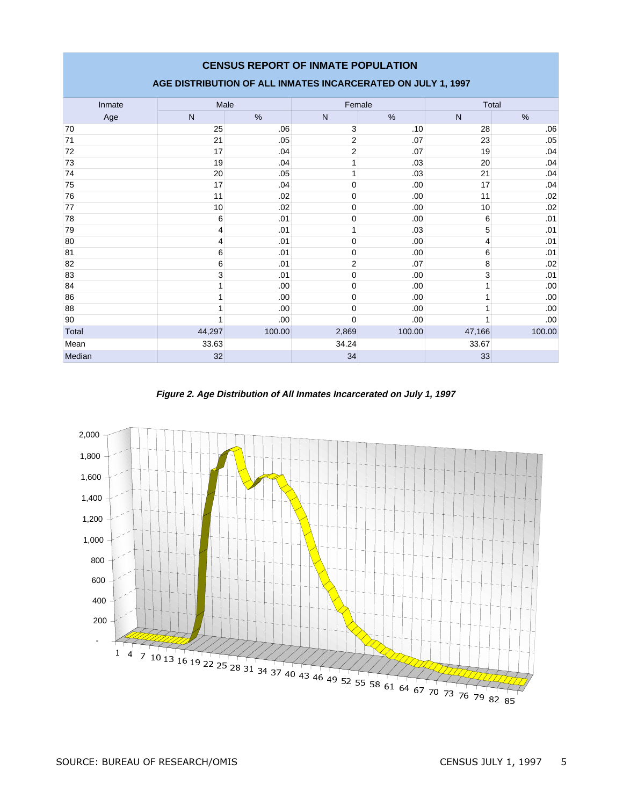### **AGE DISTRIBUTION OF ALL INMATES INCARCERATED ON JULY 1, 1997**

| Inmate | Male   |        |                | Female | Total        |        |  |
|--------|--------|--------|----------------|--------|--------------|--------|--|
| Age    | N      | $\%$   | $\mathsf{N}$   | $\%$   | $\mathsf{N}$ | $\%$   |  |
| 70     | 25     | .06    | 3              | .10    | 28           | .06    |  |
| 71     | 21     | .05    | $\overline{2}$ | .07    | 23           | .05    |  |
| 72     | 17     | .04    | $\overline{2}$ | .07    | 19           | .04    |  |
| 73     | 19     | .04    | 1              | .03    | 20           | .04    |  |
| 74     | 20     | .05    |                | .03    | 21           | .04    |  |
| 75     | 17     | .04    | 0              | .00    | 17           | .04    |  |
| 76     | 11     | .02    | 0              | .00    | 11           | .02    |  |
| 77     | 10     | .02    | 0              | .00    | 10           | .02    |  |
| 78     | 6      | .01    | $\mathbf 0$    | .00.   | 6            | .01    |  |
| 79     | 4      | .01    | 1              | .03    | 5            | .01    |  |
| 80     | 4      | .01    | $\mathbf 0$    | .00    | 4            | .01    |  |
| 81     | 6      | .01    | $\mathbf 0$    | .00.   | 6            | .01    |  |
| 82     | 6      | .01    | 2              | .07    | 8            | .02    |  |
| 83     | 3      | .01    | 0              | .00    | 3            | .01    |  |
| 84     |        | .00.   | 0              | .00    |              | .00    |  |
| 86     |        | .00.   | 0              | .00    | 4            | .00    |  |
| 88     |        | .00.   | $\mathbf 0$    | .00.   |              | .00    |  |
| 90     |        | .00    | $\Omega$       | .00    |              | .00.   |  |
| Total  | 44,297 | 100.00 | 2,869          | 100.00 | 47,166       | 100.00 |  |
| Mean   | 33.63  |        | 34.24          |        | 33.67        |        |  |
| Median | 32     |        | 34             |        | 33           |        |  |

**Figure 2. Age Distribution of All Inmates Incarcerated on July 1, 1997**

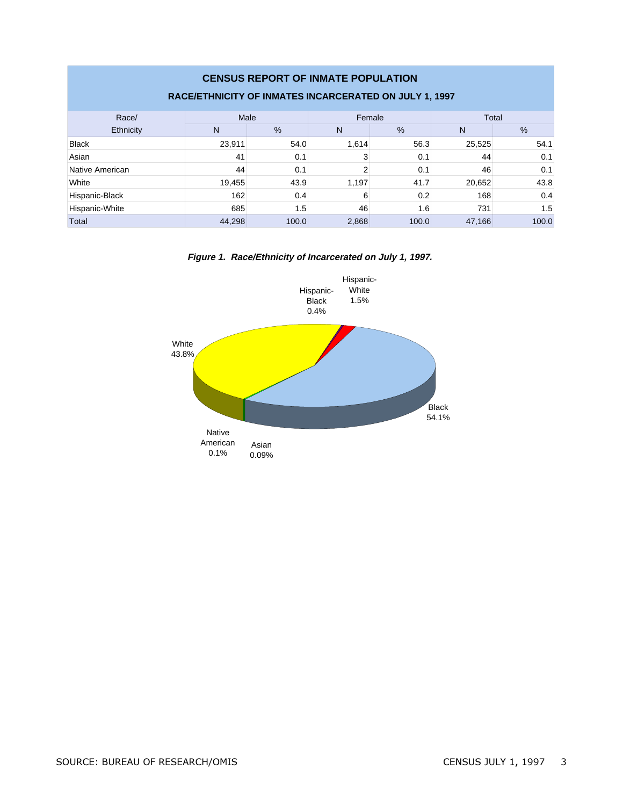| <b>CENSUS REPORT OF INMATE POPULATION</b><br>RACE/ETHNICITY OF INMATES INCARCERATED ON JULY 1, 1997 |                         |       |                |       |        |       |  |  |  |
|-----------------------------------------------------------------------------------------------------|-------------------------|-------|----------------|-------|--------|-------|--|--|--|
| Race/                                                                                               | Female<br>Male<br>Total |       |                |       |        |       |  |  |  |
| Ethnicity                                                                                           | N                       | $\%$  | N              | $\%$  | N      | %     |  |  |  |
| <b>Black</b>                                                                                        | 23.911                  | 54.0  | 1.614          | 56.3  | 25,525 | 54.1  |  |  |  |
| Asian                                                                                               | 41                      | 0.1   |                | 0.1   | 44     | 0.1   |  |  |  |
| Native American                                                                                     | 44                      | 0.1   | $\overline{2}$ | 0.1   | 46     | 0.1   |  |  |  |
| White                                                                                               | 19,455                  | 43.9  | 1,197          | 41.7  | 20,652 | 43.8  |  |  |  |
| Hispanic-Black                                                                                      | 162                     | 0.4   | 6              | 0.2   | 168    | 0.4   |  |  |  |
| Hispanic-White                                                                                      | 685                     | 1.5   | 46             | 1.6   | 731    | 1.5   |  |  |  |
| Total                                                                                               | 44,298                  | 100.0 | 2,868          | 100.0 | 47,166 | 100.0 |  |  |  |

**Figure 1. Race/Ethnicity of Incarcerated on July 1, 1997.**

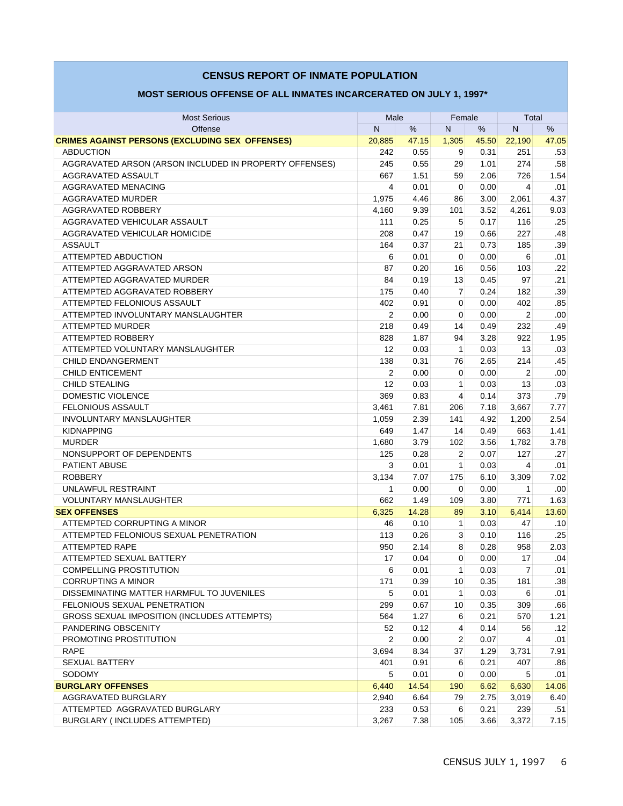#### Most Serious **Male** Female Total **Male** Female Total Offense N % N % N % **CRIMES AGAINST PERSONS (EXCLUDING SEX OFFENSES)** 20,885 47.15 1,305 45.50 22,190 47.05 ABDUCTION 242 0.55 9 0.31 251 .53 AGGRAVATED ARSON (ARSON INCLUDED IN PROPERTY OFFENSES)  $\vert$  245 0.55 29 1.01 274 .58 AGGRAVATED ASSAULT 667 1.51 59 2.06 726 1.54 AGGRAVATED MENACING 4 | 0.01 | 0 | 0.00 | 4 | .01 AGGRAVATED MURDER 1,975 4.46 86 3.00 2,061 4.37 AGGRAVATED ROBBERY 4,160 9.39 101 3.52 4,261 9.03 AGGRAVATED VEHICULAR ASSAULT 111 0.25 5 0.17 116 .25 AGGRAVATED VEHICULAR HOMICIDE 208 0.47 19 0.66 227 .48 ASSAULT 164 0.37 21 0.73 185 .39 ATTEMPTED ABDUCTION 6 0.01 0 0.00 6 .01 ATTEMPTED AGGRAVATED ARSON | 87 | 0.20 | 16 | 0.56 | 103 | .22 ATTEMPTED AGGRAVATED MURDER 84 0.19 13 0.45 97 .21 ATTEMPTED AGGRAVATED ROBBERY 175 0.40 7 0.24 182 .39 ATTEMPTED FELONIOUS ASSAULT  $\begin{array}{|c|c|c|c|c|c|} \hline \text{A} & \text{402} & \text{0.91} & \text{0} & \text{0.00} & \text{402} & \text{0.85} \ \hline \end{array}$ ATTEMPTED INVOLUNTARY MANSLAUGHTER  $\begin{array}{|c|c|c|c|c|c|c|c|} \hline \rule{0.2cm}{0.2cm} & \rule{0.2cm}{0.2cm} & \rule{0.2cm}{0.2cm} & \rule{0.2cm}{0.2cm} & \rule{0.2cm}{0.2cm} & \rule{0.2cm}{0.2cm} & \rule{0.2cm}{0.2cm} & \rule{0.2cm}{0.2cm} & \rule{0.2cm}{0.2cm} & \rule{0.2cm}{0.2cm} & \rule{0.2cm}{0.2cm} & \rule{0.2$ ATTEMPTED MURDER 218 0.49 14 0.49 232 49 ATTEMPTED ROBBERY 828 1.87 94 3.28 922 1.95 ATTEMPTED VOLUNTARY MANSLAUGHTER 12 0.03 1 0.03 13 .03 CHILD ENDANGERMENT 138 0.31 76 2.65 214 .45 CHILD ENTICEMENT 2 0.00 0 0.00 2 .00 CHILD STEALING 12 0.03 1 0.03 13 .03 DOMESTIC VIOLENCE 369 0.83 4 0.14 373 .79 FELONIOUS ASSAULT 3,461 7.81 206 7.18 3,667 7.77 INVOLUNTARY MANSLAUGHTER 1,059 2.39 141 4.92 1,200 2.54 KIDNAPPING 649 1.47 14 0.49 663 1.41 MURDER 1,680 3.79 102 3.56 1,782 3.78 NONSUPPORT OF DEPENDENTS  $\begin{array}{|c|c|c|c|c|c|c|c|} \hline \text{NONSUPPORT OF DEPENDENTS} \hline \end{array}$  125  $\begin{array}{|c|c|c|c|c|c|} \hline \text{125} & \text{0.28} & \text{2} & \text{0.07} & \text{127} & \text{0.27} \hline \end{array}$  PATIENT ABUSE 3 0.01 1 0.03 4 .01 ROBBERY 3,134 7.07 175 6.10 3,309 7.02 UNLAWFUL RESTRAINT 1 0.00 0 0.00 1 .00 VOLUNTARY MANSLAUGHTER 662 1.49 109 3.80 771 1.63 **SEX OFFENSES** 6,325 14.28 89 3.10 6,414 13.60 ATTEMPTED CORRUPTING A MINOR 45 2009 10 2009 10 2009 10 2009 10:00:00 10:00:00 47 ATTEMPTED CORRUPTING A MINOR ATTEMPTED FELONIOUS SEXUAL PENETRATION 113 0.26 3 0.10 116 .25 ATTEMPTED RAPE 950 2.14 8 0.28 958 2.03 ATTEMPTED SEXUAL BATTERY  $\begin{array}{|c|c|c|c|c|c|c|c|} \hline & & & & & 17 & & 0.04 & & 0 & 0.00 & & 17 & 0.04\ \hline \end{array}$ COMPELLING PROSTITUTION **6** 0.01 1 0.03 7 .01 CORRUPTING A MINOR 171 0.39 10 0.35 181 .38 DISSEMINATING MATTER HARMFUL TO JUVENILES  $\begin{array}{|c|c|c|c|c|c|c|c|c|} \hline \quad & 5 & 0.01 & 1 & 0.03 & 6 & .01 \ \hline \end{array}$  FELONIOUS SEXUAL PENETRATION 299 0.67 10 0.35 309 .66 GROSS SEXUAL IMPOSITION (INCLUDES ATTEMPTS)  $\begin{array}{|c|c|c|c|c|c|c|c|c|} \hline \text{GROSS SEXUAL IMPOSITION (INCLUDES ATTEMPTS) } \hline \end{array}$  564 1.27 6 0.21 570 1.21 PANDERING OBSCENITY 52 0.12 4 0.14 56 .12 PROMOTING PROSTITUTION  $\begin{array}{|c|c|c|c|c|c|c|c|c|} \hline \text{PROMOTING PROSTITUTION} & & & & & \\\hline \end{array}$  RAPE 3,694 8.34 37 1.29 3,731 7.91 SEXUAL BATTERY 401 0.91 6 0.21 407 .86 SODOMY 5 0.01 0 0.00 5 .01 **BURGLARY OFFENSES** 6,440 14.54 190 6.62 6,630 14.06 AGGRAVATED BURGLARY 2,940 6.64 79 2.75 3,019 6.40 ATTEMPTED AGGRAVATED BURGLARY 233 0.53 6 0.21 239 .51 BURGLARY ( INCLUDES ATTEMPTED) 3,267 7.38 105 3.66 3,372 7.15  **MOST SERIOUS OFFENSE OF ALL INMATES INCARCERATED ON JULY 1, 1997\***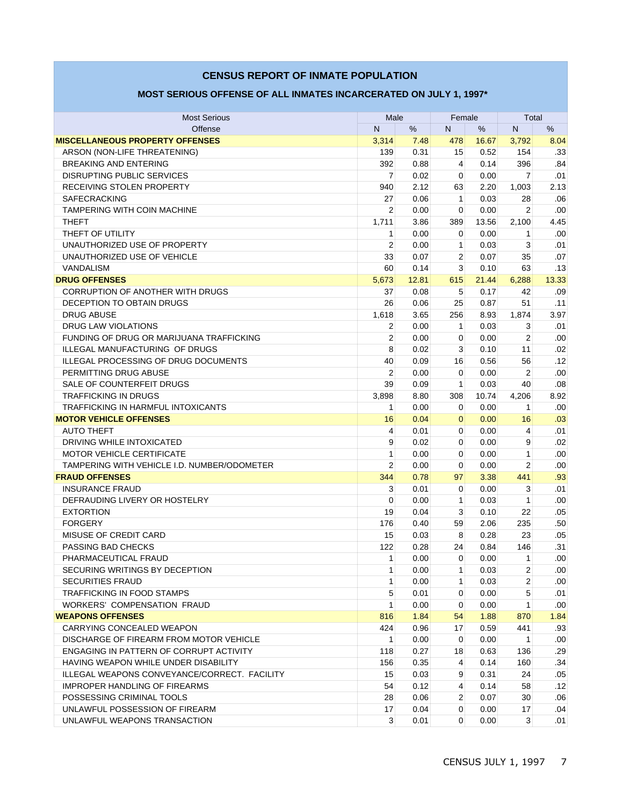### **MOST SERIOUS OFFENSE OF ALL INMATES INCARCERATED ON JULY 1, 1997\***

|                                                                |                |              |                |       | Total          |                  |
|----------------------------------------------------------------|----------------|--------------|----------------|-------|----------------|------------------|
| <b>Most Serious</b>                                            | Male<br>N<br>% |              | Female<br>N    |       | N<br>%         |                  |
| Offense                                                        |                |              |                | $\%$  |                |                  |
| <b>MISCELLANEOUS PROPERTY OFFENSES</b>                         | 3,314          | 7.48<br>0.31 | 478            | 16.67 | 3,792          | 8.04             |
| ARSON (NON-LIFE THREATENING)                                   | 139            |              | 15             | 0.52  | 154            | .33              |
| <b>BREAKING AND ENTERING</b>                                   | 392            | 0.88         | 4              | 0.14  | 396            | .84              |
| <b>DISRUPTING PUBLIC SERVICES</b><br>RECEIVING STOLEN PROPERTY | $\overline{7}$ | 0.02<br>2.12 | 0<br>63        | 0.00  | $\overline{7}$ | .01              |
|                                                                | 940            |              |                | 2.20  | 1,003          | 2.13             |
| <b>SAFECRACKING</b>                                            | 27             | 0.06         | 1              | 0.03  | 28             | .06              |
| TAMPERING WITH COIN MACHINE                                    | $\overline{2}$ | 0.00         | $\mathbf 0$    | 0.00  | $\overline{2}$ | .00<br>4.45      |
| <b>THEFT</b>                                                   | 1,711          | 3.86         | 389            | 13.56 | 2,100          |                  |
| THEFT OF UTILITY<br>UNAUTHORIZED USE OF PROPERTY               | 1              | 0.00         | $\mathbf 0$    | 0.00  | 1              | .00              |
|                                                                | $\overline{2}$ | 0.00         | 1              | 0.03  | 3              | .01              |
| UNAUTHORIZED USE OF VEHICLE                                    | 33             | 0.07         | $\overline{2}$ | 0.07  | 35             | .07              |
| VANDALISM                                                      | 60             | 0.14         | 3              | 0.10  | 63             | .13              |
| <b>DRUG OFFENSES</b>                                           | 5,673          | 12.81        | 615            | 21.44 | 6,288          | 13.33            |
| <b>CORRUPTION OF ANOTHER WITH DRUGS</b>                        | 37             | 0.08         | 5              | 0.17  | 42             | .09              |
| DECEPTION TO OBTAIN DRUGS                                      | 26             | 0.06         | 25             | 0.87  | 51             | .11              |
| <b>DRUG ABUSE</b>                                              | 1,618          | 3.65         | 256            | 8.93  | 1,874          | 3.97             |
| <b>DRUG LAW VIOLATIONS</b>                                     | 2              | 0.00         | 1              | 0.03  | 3              | .01              |
| FUNDING OF DRUG OR MARIJUANA TRAFFICKING                       | $\overline{2}$ | 0.00         | $\mathbf 0$    | 0.00  | $\overline{2}$ | .00              |
| ILLEGAL MANUFACTURING OF DRUGS                                 | 8              | 0.02         | 3              | 0.10  | 11             | .02              |
| <b>ILLEGAL PROCESSING OF DRUG DOCUMENTS</b>                    | 40             | 0.09         | 16             | 0.56  | 56             | .12              |
| PERMITTING DRUG ABUSE                                          | 2              | 0.00         | 0              | 0.00  | 2              | .00              |
| SALE OF COUNTERFEIT DRUGS                                      | 39             | 0.09         | 1              | 0.03  | 40             | .08              |
| <b>TRAFFICKING IN DRUGS</b>                                    | 3,898          | 8.80         | 308            | 10.74 | 4,206          | 8.92             |
| TRAFFICKING IN HARMFUL INTOXICANTS                             | 1              | 0.00         | 0              | 0.00  | 1              | .00              |
| <b>MOTOR VEHICLE OFFENSES</b>                                  | 16             | 0.04         | $\overline{0}$ | 0.00  | 16             | .03              |
| <b>AUTO THEFT</b>                                              | 4              | 0.01         | $\mathbf 0$    | 0.00  | 4              | .01              |
| DRIVING WHILE INTOXICATED                                      | 9              | 0.02         | $\mathbf 0$    | 0.00  | 9              | .02              |
| <b>MOTOR VEHICLE CERTIFICATE</b>                               | 1              | 0.00         | $\mathbf 0$    | 0.00  | 1              | .00              |
| TAMPERING WITH VEHICLE I.D. NUMBER/ODOMETER                    | $\overline{2}$ | 0.00         | 0              | 0.00  | 2              | .00              |
| <b>FRAUD OFFENSES</b>                                          | 344            | 0.78         | 97             | 3.38  | 441            | .93              |
| <b>INSURANCE FRAUD</b>                                         | 3              | 0.01         | 0              | 0.00  | 3              | .01              |
| DEFRAUDING LIVERY OR HOSTELRY                                  | $\mathbf 0$    | 0.00         | 1              | 0.03  | 1              | .00              |
| <b>EXTORTION</b>                                               | 19             | 0.04         | 3              | 0.10  | 22             | .05              |
| <b>FORGERY</b>                                                 | 176            | 0.40         | 59             | 2.06  | 235            | .50              |
| MISUSE OF CREDIT CARD                                          | 15             | 0.03         | 8              | 0.28  | 23             | .05              |
| PASSING BAD CHECKS                                             | 122            | 0.28         | 24             | 0.84  | 146            | .31              |
| PHARMACEUTICAL FRAUD                                           | $\mathbf{1}$   | 0.00         | 0              | 0.00  | 1              | .00 <sub>1</sub> |
| SECURING WRITINGS BY DECEPTION                                 | 1              | 0.00         | 1              | 0.03  | $\overline{2}$ | .00 <sub>1</sub> |
| <b>SECURITIES FRAUD</b>                                        | 1              | 0.00         | 1              | 0.03  | 2              | .00              |
| <b>TRAFFICKING IN FOOD STAMPS</b>                              | 5              | 0.01         | $\mathbf 0$    | 0.00  | 5              | .01              |
| WORKERS' COMPENSATION FRAUD                                    | 1              | 0.00         | $\mathbf 0$    | 0.00  | 1              | .00              |
| <b>WEAPONS OFFENSES</b>                                        | 816            | 1.84         | 54             | 1.88  | 870            | 1.84             |
| CARRYING CONCEALED WEAPON                                      | 424            | 0.96         | 17             | 0.59  | 441            | .93 <sub>1</sub> |
| DISCHARGE OF FIREARM FROM MOTOR VEHICLE                        | 1              | 0.00         | 0              | 0.00  | $\mathbf{1}$   | .00 <sub>1</sub> |
| ENGAGING IN PATTERN OF CORRUPT ACTIVITY                        | 118            | 0.27         | 18             | 0.63  | 136            | .29              |
| HAVING WEAPON WHILE UNDER DISABILITY                           | 156            | 0.35         | 4              | 0.14  | 160            | .34              |
| ILLEGAL WEAPONS CONVEYANCE/CORRECT. FACILITY                   | 15             | 0.03         | 9              | 0.31  | 24             | .05              |
| <b>IMPROPER HANDLING OF FIREARMS</b>                           | 54             | 0.12         | 4              | 0.14  | 58             | .12              |
| POSSESSING CRIMINAL TOOLS                                      | 28             | 0.06         | $\overline{2}$ | 0.07  | 30             | .06              |
| UNLAWFUL POSSESSION OF FIREARM                                 | 17             | 0.04         | 0              | 0.00  | 17             | .04              |
| UNLAWFUL WEAPONS TRANSACTION                                   | 3              | 0.01         | $\mathbf 0$    | 0.00  | 3              | .01              |